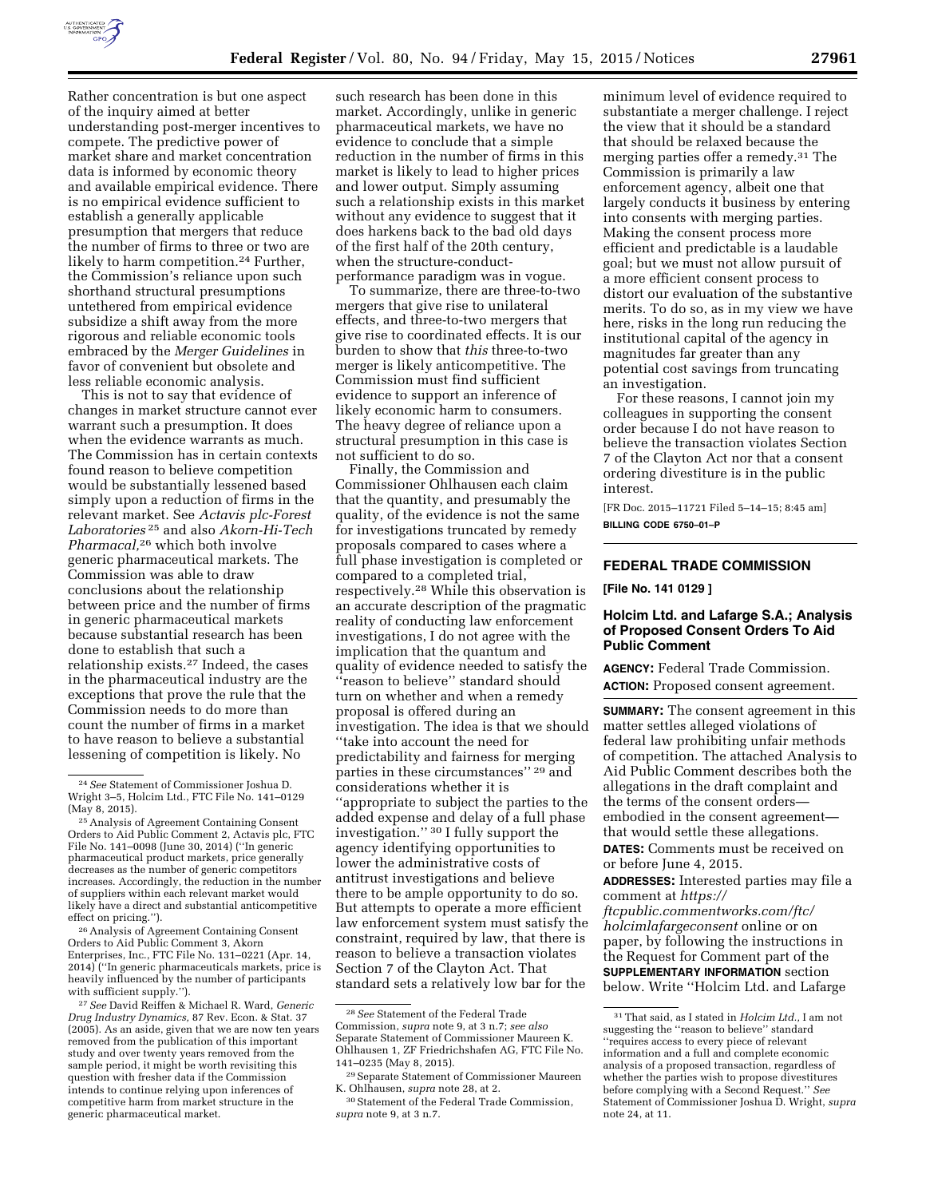

Rather concentration is but one aspect of the inquiry aimed at better understanding post-merger incentives to compete. The predictive power of market share and market concentration data is informed by economic theory and available empirical evidence. There is no empirical evidence sufficient to establish a generally applicable presumption that mergers that reduce the number of firms to three or two are likely to harm competition.<sup>24</sup> Further, the Commission's reliance upon such shorthand structural presumptions untethered from empirical evidence subsidize a shift away from the more rigorous and reliable economic tools embraced by the *Merger Guidelines* in favor of convenient but obsolete and less reliable economic analysis.

This is not to say that evidence of changes in market structure cannot ever warrant such a presumption. It does when the evidence warrants as much. The Commission has in certain contexts found reason to believe competition would be substantially lessened based simply upon a reduction of firms in the relevant market. See *Actavis plc-Forest Laboratories* 25 and also *Akorn-Hi-Tech Pharmacal,*26 which both involve generic pharmaceutical markets. The Commission was able to draw conclusions about the relationship between price and the number of firms in generic pharmaceutical markets because substantial research has been done to establish that such a relationship exists.27 Indeed, the cases in the pharmaceutical industry are the exceptions that prove the rule that the Commission needs to do more than count the number of firms in a market to have reason to believe a substantial lessening of competition is likely. No

26Analysis of Agreement Containing Consent Orders to Aid Public Comment 3, Akorn Enterprises, Inc., FTC File No. 131–0221 (Apr. 14, 2014) (''In generic pharmaceuticals markets, price is heavily influenced by the number of participants with sufficient supply.'').

27*See* David Reiffen & Michael R. Ward, *Generic Drug Industry Dynamics,* 87 Rev. Econ. & Stat. 37 (2005). As an aside, given that we are now ten years removed from the publication of this important study and over twenty years removed from the sample period, it might be worth revisiting this question with fresher data if the Commission intends to continue relying upon inferences of competitive harm from market structure in the generic pharmaceutical market.

such research has been done in this market. Accordingly, unlike in generic pharmaceutical markets, we have no evidence to conclude that a simple reduction in the number of firms in this market is likely to lead to higher prices and lower output. Simply assuming such a relationship exists in this market without any evidence to suggest that it does harkens back to the bad old days of the first half of the 20th century, when the structure-conductperformance paradigm was in vogue.

To summarize, there are three-to-two mergers that give rise to unilateral effects, and three-to-two mergers that give rise to coordinated effects. It is our burden to show that *this* three-to-two merger is likely anticompetitive. The Commission must find sufficient evidence to support an inference of likely economic harm to consumers. The heavy degree of reliance upon a structural presumption in this case is not sufficient to do so.

Finally, the Commission and Commissioner Ohlhausen each claim that the quantity, and presumably the quality, of the evidence is not the same for investigations truncated by remedy proposals compared to cases where a full phase investigation is completed or compared to a completed trial, respectively.28 While this observation is an accurate description of the pragmatic reality of conducting law enforcement investigations, I do not agree with the implication that the quantum and quality of evidence needed to satisfy the ''reason to believe'' standard should turn on whether and when a remedy proposal is offered during an investigation. The idea is that we should ''take into account the need for predictability and fairness for merging parties in these circumstances'' 29 and considerations whether it is ''appropriate to subject the parties to the added expense and delay of a full phase investigation.'' 30 I fully support the agency identifying opportunities to lower the administrative costs of antitrust investigations and believe there to be ample opportunity to do so. But attempts to operate a more efficient law enforcement system must satisfy the constraint, required by law, that there is reason to believe a transaction violates Section 7 of the Clayton Act. That standard sets a relatively low bar for the

minimum level of evidence required to substantiate a merger challenge. I reject the view that it should be a standard that should be relaxed because the merging parties offer a remedy.31 The Commission is primarily a law enforcement agency, albeit one that largely conducts it business by entering into consents with merging parties. Making the consent process more efficient and predictable is a laudable goal; but we must not allow pursuit of a more efficient consent process to distort our evaluation of the substantive merits. To do so, as in my view we have here, risks in the long run reducing the institutional capital of the agency in magnitudes far greater than any potential cost savings from truncating an investigation.

For these reasons, I cannot join my colleagues in supporting the consent order because I do not have reason to believe the transaction violates Section 7 of the Clayton Act nor that a consent ordering divestiture is in the public interest.

[FR Doc. 2015–11721 Filed 5–14–15; 8:45 am] **BILLING CODE 6750–01–P** 

### **FEDERAL TRADE COMMISSION**

**[File No. 141 0129 ]** 

# **Holcim Ltd. and Lafarge S.A.; Analysis of Proposed Consent Orders To Aid Public Comment**

**AGENCY:** Federal Trade Commission. **ACTION:** Proposed consent agreement.

**SUMMARY:** The consent agreement in this matter settles alleged violations of federal law prohibiting unfair methods of competition. The attached Analysis to Aid Public Comment describes both the allegations in the draft complaint and the terms of the consent orders embodied in the consent agreement that would settle these allegations. **DATES:** Comments must be received on or before June 4, 2015.

**ADDRESSES:** Interested parties may file a comment at *[https://](https://ftcpublic.commentworks.com/ftc/holcimlafargeconsent)*

*[ftcpublic.commentworks.com/ftc/](https://ftcpublic.commentworks.com/ftc/holcimlafargeconsent) [holcimlafargeconsent](https://ftcpublic.commentworks.com/ftc/holcimlafargeconsent)* online or on paper, by following the instructions in the Request for Comment part of the **SUPPLEMENTARY INFORMATION** section below. Write ''Holcim Ltd. and Lafarge

<sup>24</sup>*See* Statement of Commissioner Joshua D. Wright 3–5, Holcim Ltd., FTC File No. 141–0129 (May 8, 2015).

<sup>25</sup>Analysis of Agreement Containing Consent Orders to Aid Public Comment 2, Actavis plc, FTC File No. 141–0098 (June 30, 2014) (''In generic pharmaceutical product markets, price generally decreases as the number of generic competitors increases. Accordingly, the reduction in the number of suppliers within each relevant market would likely have a direct and substantial anticompetitive effect on pricing.'').

<sup>28</sup>*See* Statement of the Federal Trade Commission, *supra* note 9, at 3 n.7; *see also*  Separate Statement of Commissioner Maureen K. Ohlhausen 1, ZF Friedrichshafen AG, FTC File No. 141–0235 (May 8, 2015).

<sup>29</sup>Separate Statement of Commissioner Maureen K. Ohlhausen, *supra* note 28, at 2.

<sup>30</sup>Statement of the Federal Trade Commission, *supra* note 9, at 3 n.7.

<sup>31</sup>That said, as I stated in *Holcim Ltd.,* I am not suggesting the ''reason to believe'' standard ''requires access to every piece of relevant information and a full and complete economic analysis of a proposed transaction, regardless of whether the parties wish to propose divestitures before complying with a Second Request.'' *See*  Statement of Commissioner Joshua D. Wright, *supra*  note 24, at 11.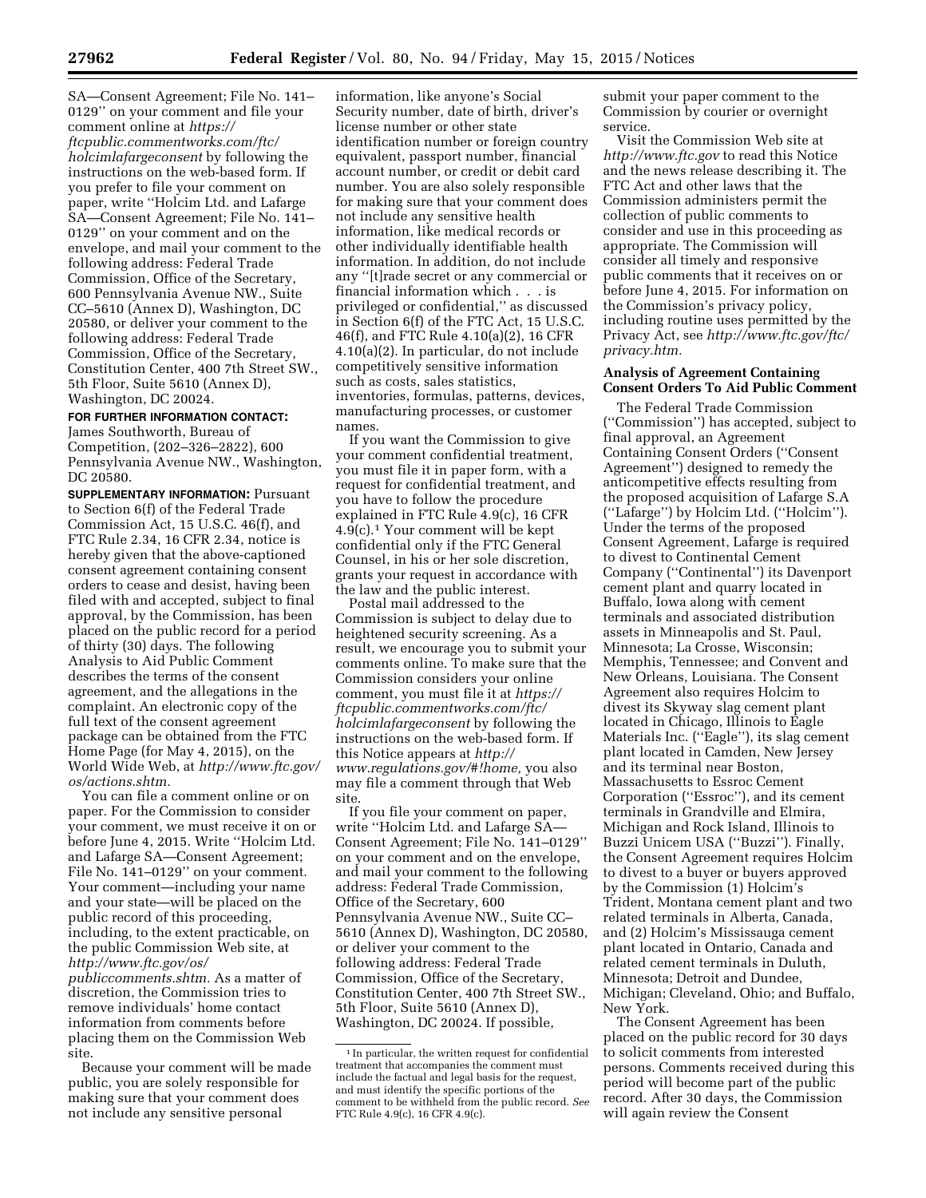SA—Consent Agreement; File No. 141– 0129'' on your comment and file your comment online at *[https://](https://ftcpublic.commentworks.com/ftc/holcimlafargeconsent) [ftcpublic.commentworks.com/ftc/](https://ftcpublic.commentworks.com/ftc/holcimlafargeconsent) [holcimlafargeconsent](https://ftcpublic.commentworks.com/ftc/holcimlafargeconsent)* by following the instructions on the web-based form. If you prefer to file your comment on paper, write ''Holcim Ltd. and Lafarge SA—Consent Agreement; File No. 141– 0129'' on your comment and on the envelope, and mail your comment to the following address: Federal Trade Commission, Office of the Secretary, 600 Pennsylvania Avenue NW., Suite CC–5610 (Annex D), Washington, DC 20580, or deliver your comment to the following address: Federal Trade Commission, Office of the Secretary, Constitution Center, 400 7th Street SW., 5th Floor, Suite 5610 (Annex D), Washington, DC 20024.

# **FOR FURTHER INFORMATION CONTACT:**

James Southworth, Bureau of Competition, (202–326–2822), 600 Pennsylvania Avenue NW., Washington, DC 20580.

**SUPPLEMENTARY INFORMATION:** Pursuant to Section 6(f) of the Federal Trade Commission Act, 15 U.S.C. 46(f), and FTC Rule 2.34, 16 CFR 2.34, notice is hereby given that the above-captioned consent agreement containing consent orders to cease and desist, having been filed with and accepted, subject to final approval, by the Commission, has been placed on the public record for a period of thirty (30) days. The following Analysis to Aid Public Comment describes the terms of the consent agreement, and the allegations in the complaint. An electronic copy of the full text of the consent agreement package can be obtained from the FTC Home Page (for May 4, 2015), on the World Wide Web, at *[http://www.ftc.gov/](http://www.ftc.gov/os/actions.shtm)  [os/actions.shtm.](http://www.ftc.gov/os/actions.shtm)* 

You can file a comment online or on paper. For the Commission to consider your comment, we must receive it on or before June 4, 2015. Write ''Holcim Ltd. and Lafarge SA—Consent Agreement; File No. 141–0129'' on your comment. Your comment—including your name and your state—will be placed on the public record of this proceeding, including, to the extent practicable, on the public Commission Web site, at *[http://www.ftc.gov/os/](http://www.ftc.gov/os/publiccomments.shtm) [publiccomments.shtm.](http://www.ftc.gov/os/publiccomments.shtm)* As a matter of discretion, the Commission tries to remove individuals' home contact information from comments before placing them on the Commission Web

site. Because your comment will be made public, you are solely responsible for making sure that your comment does not include any sensitive personal

information, like anyone's Social Security number, date of birth, driver's license number or other state identification number or foreign country equivalent, passport number, financial account number, or credit or debit card number. You are also solely responsible for making sure that your comment does not include any sensitive health information, like medical records or other individually identifiable health information. In addition, do not include any ''[t]rade secret or any commercial or financial information which . . . is privileged or confidential,'' as discussed in Section 6(f) of the FTC Act, 15 U.S.C. 46(f), and FTC Rule 4.10(a)(2), 16 CFR 4.10(a)(2). In particular, do not include competitively sensitive information such as costs, sales statistics, inventories, formulas, patterns, devices, manufacturing processes, or customer names.

If you want the Commission to give your comment confidential treatment, you must file it in paper form, with a request for confidential treatment, and you have to follow the procedure explained in FTC Rule 4.9(c), 16 CFR 4.9(c).1 Your comment will be kept confidential only if the FTC General Counsel, in his or her sole discretion, grants your request in accordance with the law and the public interest.

Postal mail addressed to the Commission is subject to delay due to heightened security screening. As a result, we encourage you to submit your comments online. To make sure that the Commission considers your online comment, you must file it at *[https://](https://ftcpublic.commentworks.com/ftc/holcimlafargeconsent) [ftcpublic.commentworks.com/ftc/](https://ftcpublic.commentworks.com/ftc/holcimlafargeconsent) [holcimlafargeconsent](https://ftcpublic.commentworks.com/ftc/holcimlafargeconsent)* by following the instructions on the web-based form. If this Notice appears at *[http://](http://www.regulations.gov/#!home) [www.regulations.gov/#!home,](http://www.regulations.gov/#!home)* you also may file a comment through that Web site.

If you file your comment on paper, write ''Holcim Ltd. and Lafarge SA— Consent Agreement; File No. 141–0129'' on your comment and on the envelope, and mail your comment to the following address: Federal Trade Commission, Office of the Secretary, 600 Pennsylvania Avenue NW., Suite CC– 5610 (Annex D), Washington, DC 20580, or deliver your comment to the following address: Federal Trade Commission, Office of the Secretary, Constitution Center, 400 7th Street SW., 5th Floor, Suite 5610 (Annex D), Washington, DC 20024. If possible,

submit your paper comment to the Commission by courier or overnight service.

Visit the Commission Web site at *<http://www.ftc.gov>*to read this Notice and the news release describing it. The FTC Act and other laws that the Commission administers permit the collection of public comments to consider and use in this proceeding as appropriate. The Commission will consider all timely and responsive public comments that it receives on or before June 4, 2015. For information on the Commission's privacy policy, including routine uses permitted by the Privacy Act, see *[http://www.ftc.gov/ftc/](http://www.ftc.gov/ftc/privacy.htm)  [privacy.htm.](http://www.ftc.gov/ftc/privacy.htm)* 

#### **Analysis of Agreement Containing Consent Orders To Aid Public Comment**

The Federal Trade Commission (''Commission'') has accepted, subject to final approval, an Agreement Containing Consent Orders (''Consent Agreement'') designed to remedy the anticompetitive effects resulting from the proposed acquisition of Lafarge S.A (''Lafarge'') by Holcim Ltd. (''Holcim''). Under the terms of the proposed Consent Agreement, Lafarge is required to divest to Continental Cement Company (''Continental'') its Davenport cement plant and quarry located in Buffalo, Iowa along with cement terminals and associated distribution assets in Minneapolis and St. Paul, Minnesota; La Crosse, Wisconsin; Memphis, Tennessee; and Convent and New Orleans, Louisiana. The Consent Agreement also requires Holcim to divest its Skyway slag cement plant located in Chicago, Illinois to Eagle Materials Inc. (''Eagle''), its slag cement plant located in Camden, New Jersey and its terminal near Boston, Massachusetts to Essroc Cement Corporation (''Essroc''), and its cement terminals in Grandville and Elmira, Michigan and Rock Island, Illinois to Buzzi Unicem USA (''Buzzi''). Finally, the Consent Agreement requires Holcim to divest to a buyer or buyers approved by the Commission (1) Holcim's Trident, Montana cement plant and two related terminals in Alberta, Canada, and (2) Holcim's Mississauga cement plant located in Ontario, Canada and related cement terminals in Duluth, Minnesota; Detroit and Dundee, Michigan; Cleveland, Ohio; and Buffalo, New York.

The Consent Agreement has been placed on the public record for 30 days to solicit comments from interested persons. Comments received during this period will become part of the public record. After 30 days, the Commission will again review the Consent

<sup>&</sup>lt;sup>1</sup> In particular, the written request for confidential treatment that accompanies the comment must include the factual and legal basis for the request, and must identify the specific portions of the comment to be withheld from the public record. *See*  FTC Rule 4.9(c), 16 CFR 4.9(c).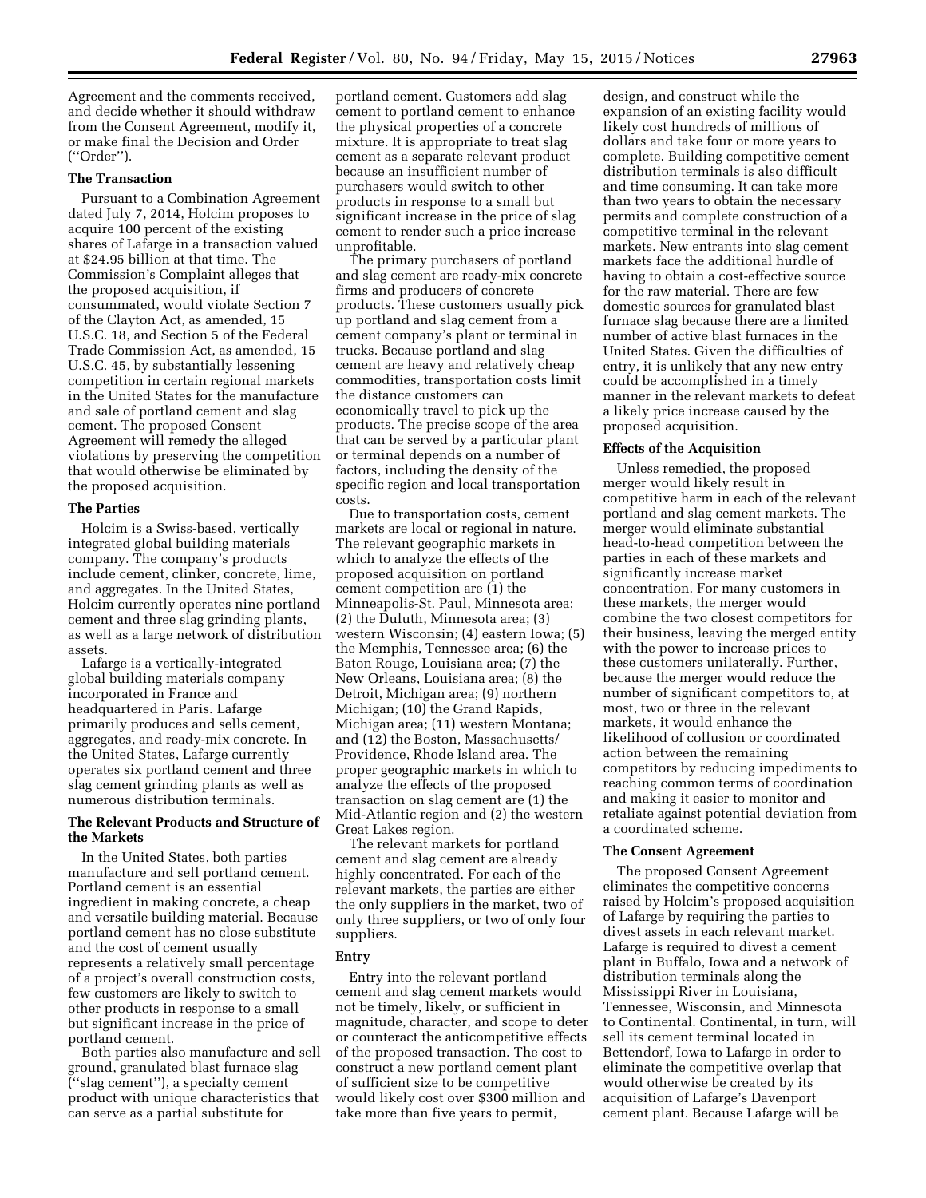Agreement and the comments received, and decide whether it should withdraw from the Consent Agreement, modify it, or make final the Decision and Order (''Order'').

### **The Transaction**

Pursuant to a Combination Agreement dated July 7, 2014, Holcim proposes to acquire 100 percent of the existing shares of Lafarge in a transaction valued at \$24.95 billion at that time. The Commission's Complaint alleges that the proposed acquisition, if consummated, would violate Section 7 of the Clayton Act, as amended, 15 U.S.C. 18, and Section 5 of the Federal Trade Commission Act, as amended, 15 U.S.C. 45, by substantially lessening competition in certain regional markets in the United States for the manufacture and sale of portland cement and slag cement. The proposed Consent Agreement will remedy the alleged violations by preserving the competition that would otherwise be eliminated by the proposed acquisition.

#### **The Parties**

Holcim is a Swiss-based, vertically integrated global building materials company. The company's products include cement, clinker, concrete, lime, and aggregates. In the United States, Holcim currently operates nine portland cement and three slag grinding plants, as well as a large network of distribution assets.

Lafarge is a vertically-integrated global building materials company incorporated in France and headquartered in Paris. Lafarge primarily produces and sells cement, aggregates, and ready-mix concrete. In the United States, Lafarge currently operates six portland cement and three slag cement grinding plants as well as numerous distribution terminals.

# **The Relevant Products and Structure of the Markets**

In the United States, both parties manufacture and sell portland cement. Portland cement is an essential ingredient in making concrete, a cheap and versatile building material. Because portland cement has no close substitute and the cost of cement usually represents a relatively small percentage of a project's overall construction costs, few customers are likely to switch to other products in response to a small but significant increase in the price of portland cement.

Both parties also manufacture and sell ground, granulated blast furnace slag (''slag cement''), a specialty cement product with unique characteristics that can serve as a partial substitute for

portland cement. Customers add slag cement to portland cement to enhance the physical properties of a concrete mixture. It is appropriate to treat slag cement as a separate relevant product because an insufficient number of purchasers would switch to other products in response to a small but significant increase in the price of slag cement to render such a price increase unprofitable.

The primary purchasers of portland and slag cement are ready-mix concrete firms and producers of concrete products. These customers usually pick up portland and slag cement from a cement company's plant or terminal in trucks. Because portland and slag cement are heavy and relatively cheap commodities, transportation costs limit the distance customers can economically travel to pick up the products. The precise scope of the area that can be served by a particular plant or terminal depends on a number of factors, including the density of the specific region and local transportation costs.

Due to transportation costs, cement markets are local or regional in nature. The relevant geographic markets in which to analyze the effects of the proposed acquisition on portland cement competition are (1) the Minneapolis-St. Paul, Minnesota area; (2) the Duluth, Minnesota area; (3) western Wisconsin; (4) eastern Iowa; (5) the Memphis, Tennessee area; (6) the Baton Rouge, Louisiana area; (7) the New Orleans, Louisiana area; (8) the Detroit, Michigan area; (9) northern Michigan; (10) the Grand Rapids, Michigan area; (11) western Montana; and (12) the Boston, Massachusetts/ Providence, Rhode Island area. The proper geographic markets in which to analyze the effects of the proposed transaction on slag cement are (1) the Mid-Atlantic region and (2) the western Great Lakes region.

The relevant markets for portland cement and slag cement are already highly concentrated. For each of the relevant markets, the parties are either the only suppliers in the market, two of only three suppliers, or two of only four suppliers.

#### **Entry**

Entry into the relevant portland cement and slag cement markets would not be timely, likely, or sufficient in magnitude, character, and scope to deter or counteract the anticompetitive effects of the proposed transaction. The cost to construct a new portland cement plant of sufficient size to be competitive would likely cost over \$300 million and take more than five years to permit,

design, and construct while the expansion of an existing facility would likely cost hundreds of millions of dollars and take four or more years to complete. Building competitive cement distribution terminals is also difficult and time consuming. It can take more than two years to obtain the necessary permits and complete construction of a competitive terminal in the relevant markets. New entrants into slag cement markets face the additional hurdle of having to obtain a cost-effective source for the raw material. There are few domestic sources for granulated blast furnace slag because there are a limited number of active blast furnaces in the United States. Given the difficulties of entry, it is unlikely that any new entry could be accomplished in a timely manner in the relevant markets to defeat a likely price increase caused by the proposed acquisition.

#### **Effects of the Acquisition**

Unless remedied, the proposed merger would likely result in competitive harm in each of the relevant portland and slag cement markets. The merger would eliminate substantial head-to-head competition between the parties in each of these markets and significantly increase market concentration. For many customers in these markets, the merger would combine the two closest competitors for their business, leaving the merged entity with the power to increase prices to these customers unilaterally. Further, because the merger would reduce the number of significant competitors to, at most, two or three in the relevant markets, it would enhance the likelihood of collusion or coordinated action between the remaining competitors by reducing impediments to reaching common terms of coordination and making it easier to monitor and retaliate against potential deviation from a coordinated scheme.

### **The Consent Agreement**

The proposed Consent Agreement eliminates the competitive concerns raised by Holcim's proposed acquisition of Lafarge by requiring the parties to divest assets in each relevant market. Lafarge is required to divest a cement plant in Buffalo, Iowa and a network of distribution terminals along the Mississippi River in Louisiana, Tennessee, Wisconsin, and Minnesota to Continental. Continental, in turn, will sell its cement terminal located in Bettendorf, Iowa to Lafarge in order to eliminate the competitive overlap that would otherwise be created by its acquisition of Lafarge's Davenport cement plant. Because Lafarge will be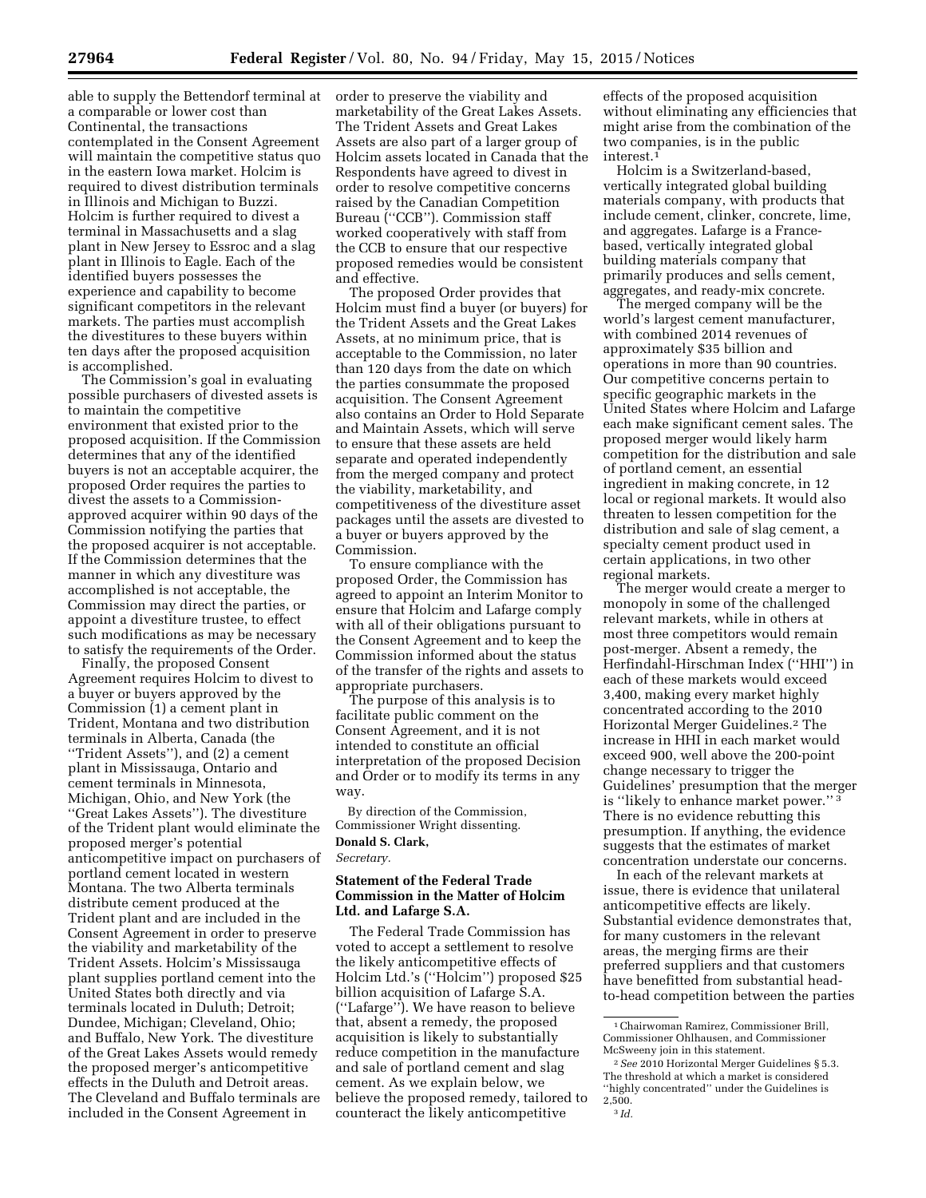able to supply the Bettendorf terminal at a comparable or lower cost than Continental, the transactions contemplated in the Consent Agreement will maintain the competitive status quo in the eastern Iowa market. Holcim is required to divest distribution terminals in Illinois and Michigan to Buzzi. Holcim is further required to divest a terminal in Massachusetts and a slag plant in New Jersey to Essroc and a slag plant in Illinois to Eagle. Each of the identified buyers possesses the experience and capability to become significant competitors in the relevant markets. The parties must accomplish the divestitures to these buyers within ten days after the proposed acquisition is accomplished.

The Commission's goal in evaluating possible purchasers of divested assets is to maintain the competitive environment that existed prior to the proposed acquisition. If the Commission determines that any of the identified buyers is not an acceptable acquirer, the proposed Order requires the parties to divest the assets to a Commissionapproved acquirer within 90 days of the Commission notifying the parties that the proposed acquirer is not acceptable. If the Commission determines that the manner in which any divestiture was accomplished is not acceptable, the Commission may direct the parties, or appoint a divestiture trustee, to effect such modifications as may be necessary to satisfy the requirements of the Order.

Finally, the proposed Consent Agreement requires Holcim to divest to a buyer or buyers approved by the Commission (1) a cement plant in Trident, Montana and two distribution terminals in Alberta, Canada (the ''Trident Assets''), and (2) a cement plant in Mississauga, Ontario and cement terminals in Minnesota, Michigan, Ohio, and New York (the ''Great Lakes Assets''). The divestiture of the Trident plant would eliminate the proposed merger's potential anticompetitive impact on purchasers of portland cement located in western Montana. The two Alberta terminals distribute cement produced at the Trident plant and are included in the Consent Agreement in order to preserve the viability and marketability of the Trident Assets. Holcim's Mississauga plant supplies portland cement into the United States both directly and via terminals located in Duluth; Detroit; Dundee, Michigan; Cleveland, Ohio; and Buffalo, New York. The divestiture of the Great Lakes Assets would remedy the proposed merger's anticompetitive effects in the Duluth and Detroit areas. The Cleveland and Buffalo terminals are included in the Consent Agreement in

order to preserve the viability and marketability of the Great Lakes Assets. The Trident Assets and Great Lakes Assets are also part of a larger group of Holcim assets located in Canada that the Respondents have agreed to divest in order to resolve competitive concerns raised by the Canadian Competition Bureau (''CCB''). Commission staff worked cooperatively with staff from the CCB to ensure that our respective proposed remedies would be consistent and effective.

The proposed Order provides that Holcim must find a buyer (or buyers) for the Trident Assets and the Great Lakes Assets, at no minimum price, that is acceptable to the Commission, no later than 120 days from the date on which the parties consummate the proposed acquisition. The Consent Agreement also contains an Order to Hold Separate and Maintain Assets, which will serve to ensure that these assets are held separate and operated independently from the merged company and protect the viability, marketability, and competitiveness of the divestiture asset packages until the assets are divested to a buyer or buyers approved by the Commission.

To ensure compliance with the proposed Order, the Commission has agreed to appoint an Interim Monitor to ensure that Holcim and Lafarge comply with all of their obligations pursuant to the Consent Agreement and to keep the Commission informed about the status of the transfer of the rights and assets to appropriate purchasers.

The purpose of this analysis is to facilitate public comment on the Consent Agreement, and it is not intended to constitute an official interpretation of the proposed Decision and Order or to modify its terms in any way.

By direction of the Commission, Commissioner Wright dissenting. **Donald S. Clark,** 

*Secretary.* 

# **Statement of the Federal Trade Commission in the Matter of Holcim Ltd. and Lafarge S.A.**

The Federal Trade Commission has voted to accept a settlement to resolve the likely anticompetitive effects of Holcim Ltd.'s (''Holcim'') proposed \$25 billion acquisition of Lafarge S.A. (''Lafarge''). We have reason to believe that, absent a remedy, the proposed acquisition is likely to substantially reduce competition in the manufacture and sale of portland cement and slag cement. As we explain below, we believe the proposed remedy, tailored to counteract the likely anticompetitive

effects of the proposed acquisition without eliminating any efficiencies that might arise from the combination of the two companies, is in the public interest.1

Holcim is a Switzerland-based, vertically integrated global building materials company, with products that include cement, clinker, concrete, lime, and aggregates. Lafarge is a Francebased, vertically integrated global building materials company that primarily produces and sells cement, aggregates, and ready-mix concrete.

The merged company will be the world's largest cement manufacturer, with combined 2014 revenues of approximately \$35 billion and operations in more than 90 countries. Our competitive concerns pertain to specific geographic markets in the United States where Holcim and Lafarge each make significant cement sales. The proposed merger would likely harm competition for the distribution and sale of portland cement, an essential ingredient in making concrete, in 12 local or regional markets. It would also threaten to lessen competition for the distribution and sale of slag cement, a specialty cement product used in certain applications, in two other regional markets.

The merger would create a merger to monopoly in some of the challenged relevant markets, while in others at most three competitors would remain post-merger. Absent a remedy, the Herfindahl-Hirschman Index (''HHI'') in each of these markets would exceed 3,400, making every market highly concentrated according to the 2010 Horizontal Merger Guidelines.2 The increase in HHI in each market would exceed 900, well above the 200-point change necessary to trigger the Guidelines' presumption that the merger is ''likely to enhance market power.'' 3 There is no evidence rebutting this presumption. If anything, the evidence suggests that the estimates of market concentration understate our concerns.

In each of the relevant markets at issue, there is evidence that unilateral anticompetitive effects are likely. Substantial evidence demonstrates that, for many customers in the relevant areas, the merging firms are their preferred suppliers and that customers have benefitted from substantial headto-head competition between the parties

<sup>1</sup>Chairwoman Ramirez, Commissioner Brill, Commissioner Ohlhausen, and Commissioner McSweeny join in this statement.

<sup>2</sup>*See* 2010 Horizontal Merger Guidelines § 5.3. The threshold at which a market is considered ''highly concentrated'' under the Guidelines is 2,500. 3 *Id.*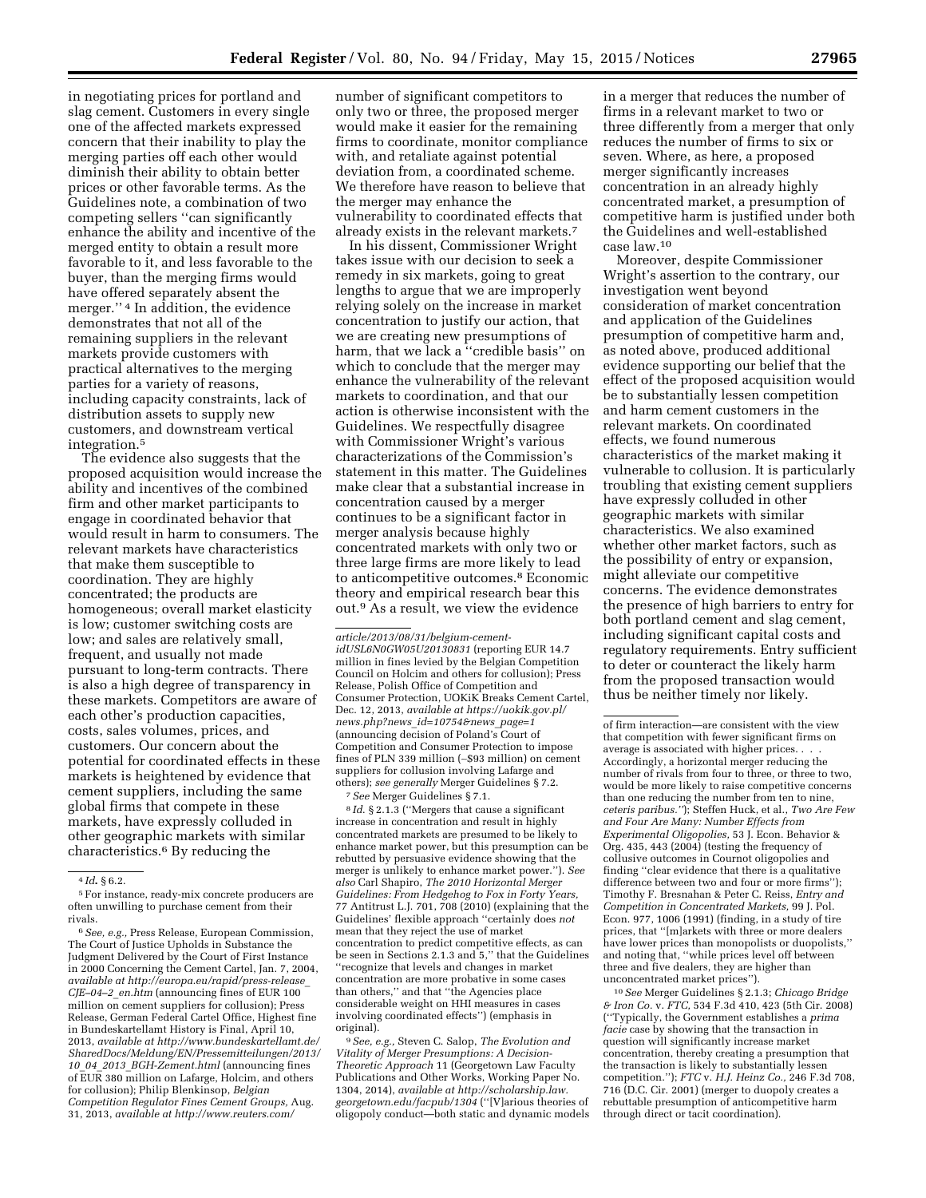in negotiating prices for portland and slag cement. Customers in every single one of the affected markets expressed concern that their inability to play the merging parties off each other would diminish their ability to obtain better prices or other favorable terms. As the Guidelines note, a combination of two competing sellers ''can significantly enhance the ability and incentive of the merged entity to obtain a result more favorable to it, and less favorable to the buyer, than the merging firms would have offered separately absent the merger.'' 4 In addition, the evidence demonstrates that not all of the remaining suppliers in the relevant markets provide customers with practical alternatives to the merging parties for a variety of reasons, including capacity constraints, lack of distribution assets to supply new customers, and downstream vertical integration.5

The evidence also suggests that the proposed acquisition would increase the ability and incentives of the combined firm and other market participants to engage in coordinated behavior that would result in harm to consumers. The relevant markets have characteristics that make them susceptible to coordination. They are highly concentrated; the products are homogeneous; overall market elasticity is low; customer switching costs are low; and sales are relatively small, frequent, and usually not made pursuant to long-term contracts. There is also a high degree of transparency in these markets. Competitors are aware of each other's production capacities, costs, sales volumes, prices, and customers. Our concern about the potential for coordinated effects in these markets is heightened by evidence that cement suppliers, including the same global firms that compete in these markets, have expressly colluded in other geographic markets with similar characteristics.6 By reducing the

number of significant competitors to only two or three, the proposed merger would make it easier for the remaining firms to coordinate, monitor compliance with, and retaliate against potential deviation from, a coordinated scheme. We therefore have reason to believe that the merger may enhance the vulnerability to coordinated effects that already exists in the relevant markets.7

In his dissent, Commissioner Wright takes issue with our decision to seek a remedy in six markets, going to great lengths to argue that we are improperly relying solely on the increase in market concentration to justify our action, that we are creating new presumptions of harm, that we lack a ''credible basis'' on which to conclude that the merger may enhance the vulnerability of the relevant markets to coordination, and that our action is otherwise inconsistent with the Guidelines. We respectfully disagree with Commissioner Wright's various characterizations of the Commission's statement in this matter. The Guidelines make clear that a substantial increase in concentration caused by a merger continues to be a significant factor in merger analysis because highly concentrated markets with only two or three large firms are more likely to lead to anticompetitive outcomes.8 Economic theory and empirical research bear this out.9 As a result, we view the evidence

7*See* Merger Guidelines § 7.1.

8 *Id*. § 2.1.3 (''Mergers that cause a significant increase in concentration and result in highly concentrated markets are presumed to be likely to enhance market power, but this presumption can be rebutted by persuasive evidence showing that the merger is unlikely to enhance market power.''). *See also* Carl Shapiro, *The 2010 Horizontal Merger Guidelines: From Hedgehog to Fox in Forty Years,*  77 Antitrust L.J. 701, 708 (2010) (explaining that the Guidelines' flexible approach ''certainly does *not*  mean that they reject the use of market concentration to predict competitive effects, as can be seen in Sections 2.1.3 and 5,'' that the Guidelines ''recognize that levels and changes in market concentration are more probative in some cases than others,'' and that ''the Agencies place considerable weight on HHI measures in cases involving coordinated effects'') (emphasis in original).

9*See, e.g.,* Steven C. Salop, *The Evolution and Vitality of Merger Presumptions: A Decision-Theoretic Approach* 11 (Georgetown Law Faculty Publications and Other Works, Working Paper No. 1304, 2014), *available at [http://scholarship.law.](http://scholarship.law.georgetown.edu/facpub/1304) [georgetown.edu/facpub/1304](http://scholarship.law.georgetown.edu/facpub/1304)* (''[V]arious theories of oligopoly conduct—both static and dynamic models

in a merger that reduces the number of firms in a relevant market to two or three differently from a merger that only reduces the number of firms to six or seven. Where, as here, a proposed merger significantly increases concentration in an already highly concentrated market, a presumption of competitive harm is justified under both the Guidelines and well-established case law.10

Moreover, despite Commissioner Wright's assertion to the contrary, our investigation went beyond consideration of market concentration and application of the Guidelines presumption of competitive harm and, as noted above, produced additional evidence supporting our belief that the effect of the proposed acquisition would be to substantially lessen competition and harm cement customers in the relevant markets. On coordinated effects, we found numerous characteristics of the market making it vulnerable to collusion. It is particularly troubling that existing cement suppliers have expressly colluded in other geographic markets with similar characteristics. We also examined whether other market factors, such as the possibility of entry or expansion, might alleviate our competitive concerns. The evidence demonstrates the presence of high barriers to entry for both portland cement and slag cement, including significant capital costs and regulatory requirements. Entry sufficient to deter or counteract the likely harm from the proposed transaction would thus be neither timely nor likely.

10*See* Merger Guidelines § 2.1.3; *Chicago Bridge & Iron Co.* v. *FTC,* 534 F.3d 410, 423 (5th Cir. 2008) (''Typically, the Government establishes a *prima facie* case by showing that the transaction in question will significantly increase market concentration, thereby creating a presumption that the transaction is likely to substantially lessen competition.''); *FTC* v. *H.J. Heinz Co.,* 246 F.3d 708, 716 (D.C. Cir. 2001) (merger to duopoly creates a rebuttable presumption of anticompetitive harm through direct or tacit coordination).

<sup>4</sup> *Id***.** § 6.2.

<sup>5</sup>For instance, ready-mix concrete producers are often unwilling to purchase cement from their rivals.

<sup>6</sup>*See, e.g.,* Press Release, European Commission, The Court of Justice Upholds in Substance the Judgment Delivered by the Court of First Instance in 2000 Concerning the Cement Cartel, Jan. 7, 2004, *available at [http://europa.eu/rapid/press-release](http://europa.eu/rapid/press-release_CJE-04-2_en.htm)*\_ *[CJE–04–2](http://europa.eu/rapid/press-release_CJE-04-2_en.htm)*\_*en.htm* (announcing fines of EUR 100 million on cement suppliers for collusion); Press Release, German Federal Cartel Office, Highest fine in Bundeskartellamt History is Final, April 10, 2013, *available at [http://www.bundeskartellamt.de/](http://www.bundeskartellamt.de/SharedDocs/Meldung/EN/Pressemitteilungen/2013/10_04_2013_BGH-Zement.html) [SharedDocs/Meldung/EN/Pressemitteilungen/2013/](http://www.bundeskartellamt.de/SharedDocs/Meldung/EN/Pressemitteilungen/2013/10_04_2013_BGH-Zement.html) 10*\_*04*\_*2013*\_*[BGH-Zement.html](http://www.bundeskartellamt.de/SharedDocs/Meldung/EN/Pressemitteilungen/2013/10_04_2013_BGH-Zement.html)* (announcing fines of EUR 380 million on Lafarge, Holcim, and others for collusion); Philip Blenkinsop, *Belgian Competition Regulator Fines Cement Groups,* Aug. 31, 2013, *available [at http://www.reuters.com/](http://www.reuters.com/)*

*article/2013/08/31/belgium-cementidUSL6N0GW05U20130831* (reporting EUR 14.7 million in fines levied by the Belgian Competition Council on Holcim and others for collusion); Press Release, Polish Office of Competition and Consumer Protection, UOKiK Breaks Cement Cartel, Dec. 12, 2013, *available at [https://uokik.gov.pl/](https://uokik.gov.pl/news.php?news_id=10754&news_page=1) news.php?news*\_*[id=10754&news](https://uokik.gov.pl/news.php?news_id=10754&news_page=1)*\_*page=1*  (announcing decision of Poland's Court of Competition and Consumer Protection to impose fines of PLN 339 million (∼\$93 million) on cement suppliers for collusion involving Lafarge and others); *see generally* Merger Guidelines § 7.2.

of firm interaction—are consistent with the view that competition with fewer significant firms on average is associated with higher prices. . . . Accordingly, a horizontal merger reducing the number of rivals from four to three, or three to two, would be more likely to raise competitive concerns than one reducing the number from ten to nine, *ceteris paribus.''*); Steffen Huck, et al., *Two Are Few and Four Are Many: Number Effects from Experimental Oligopolies,* 53 J. Econ. Behavior & Org. 435, 443 (2004) (testing the frequency of collusive outcomes in Cournot oligopolies and finding ''clear evidence that there is a qualitative difference between two and four or more firms''); Timothy F. Bresnahan & Peter C. Reiss, *Entry and Competition in Concentrated Markets,* 99 J. Pol. Econ. 977, 1006 (1991) (finding, in a study of tire prices, that ''[m]arkets with three or more dealers have lower prices than monopolists or duopolists,'' and noting that, ''while prices level off between three and five dealers, they are higher than unconcentrated market prices'').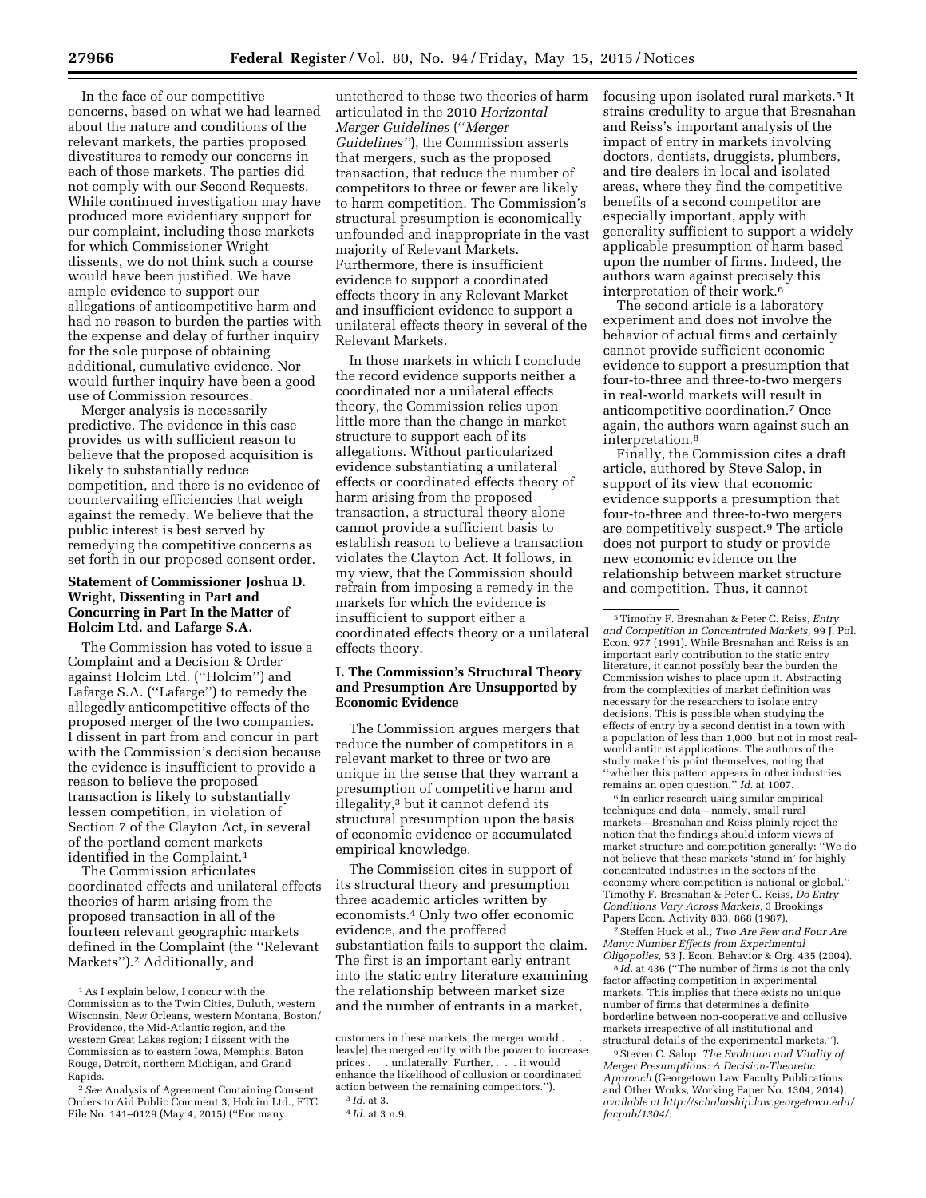In the face of our competitive concerns, based on what we had learned about the nature and conditions of the relevant markets, the parties proposed divestitures to remedy our concerns in each of those markets. The parties did not comply with our Second Requests. While continued investigation may have produced more evidentiary support for our complaint, including those markets for which Commissioner Wright dissents, we do not think such a course would have been justified. We have ample evidence to support our allegations of anticompetitive harm and had no reason to burden the parties with the expense and delay of further inquiry for the sole purpose of obtaining additional, cumulative evidence. Nor would further inquiry have been a good use of Commission resources.

Merger analysis is necessarily predictive. The evidence in this case provides us with sufficient reason to believe that the proposed acquisition is likely to substantially reduce competition, and there is no evidence of countervailing efficiencies that weigh against the remedy. We believe that the public interest is best served by remedying the competitive concerns as set forth in our proposed consent order.

## **Statement of Commissioner Joshua D. Wright, Dissenting in Part and Concurring in Part In the Matter of Holcim Ltd. and Lafarge S.A.**

The Commission has voted to issue a Complaint and a Decision & Order against Holcim Ltd. (''Holcim'') and Lafarge S.A. (''Lafarge'') to remedy the allegedly anticompetitive effects of the proposed merger of the two companies. I dissent in part from and concur in part with the Commission's decision because the evidence is insufficient to provide a reason to believe the proposed transaction is likely to substantially lessen competition, in violation of Section 7 of the Clayton Act, in several of the portland cement markets identified in the Complaint.1

The Commission articulates coordinated effects and unilateral effects theories of harm arising from the proposed transaction in all of the fourteen relevant geographic markets defined in the Complaint (the ''Relevant Markets'').2 Additionally, and

untethered to these two theories of harm articulated in the 2010 *Horizontal Merger Guidelines* (''*Merger Guidelines''*), the Commission asserts that mergers, such as the proposed transaction, that reduce the number of competitors to three or fewer are likely to harm competition. The Commission's structural presumption is economically unfounded and inappropriate in the vast majority of Relevant Markets. Furthermore, there is insufficient evidence to support a coordinated effects theory in any Relevant Market and insufficient evidence to support a unilateral effects theory in several of the Relevant Markets.

In those markets in which I conclude the record evidence supports neither a coordinated nor a unilateral effects theory, the Commission relies upon little more than the change in market structure to support each of its allegations. Without particularized evidence substantiating a unilateral effects or coordinated effects theory of harm arising from the proposed transaction, a structural theory alone cannot provide a sufficient basis to establish reason to believe a transaction violates the Clayton Act. It follows, in my view, that the Commission should refrain from imposing a remedy in the markets for which the evidence is insufficient to support either a coordinated effects theory or a unilateral effects theory.

## **I. The Commission's Structural Theory and Presumption Are Unsupported by Economic Evidence**

The Commission argues mergers that reduce the number of competitors in a relevant market to three or two are unique in the sense that they warrant a presumption of competitive harm and illegality,3 but it cannot defend its structural presumption upon the basis of economic evidence or accumulated empirical knowledge.

The Commission cites in support of its structural theory and presumption three academic articles written by economists.4 Only two offer economic evidence, and the proffered substantiation fails to support the claim. The first is an important early entrant into the static entry literature examining the relationship between market size and the number of entrants in a market,

focusing upon isolated rural markets.5 It strains credulity to argue that Bresnahan and Reiss's important analysis of the impact of entry in markets involving doctors, dentists, druggists, plumbers, and tire dealers in local and isolated areas, where they find the competitive benefits of a second competitor are especially important, apply with generality sufficient to support a widely applicable presumption of harm based upon the number of firms. Indeed, the authors warn against precisely this interpretation of their work.6

The second article is a laboratory experiment and does not involve the behavior of actual firms and certainly cannot provide sufficient economic evidence to support a presumption that four-to-three and three-to-two mergers in real-world markets will result in anticompetitive coordination.7 Once again, the authors warn against such an interpretation.8

Finally, the Commission cites a draft article, authored by Steve Salop, in support of its view that economic evidence supports a presumption that four-to-three and three-to-two mergers are competitively suspect.9 The article does not purport to study or provide new economic evidence on the relationship between market structure and competition. Thus, it cannot

6 In earlier research using similar empirical techniques and data—namely, small rural markets—Bresnahan and Reiss plainly reject the notion that the findings should inform views of market structure and competition generally: ''We do not believe that these markets 'stand in' for highly concentrated industries in the sectors of the economy where competition is national or global.'' Timothy F. Bresnahan & Peter C. Reiss, *Do Entry Conditions Vary Across Markets,* 3 Brookings Papers Econ. Activity 833, 868 (1987).

7Steffen Huck et al., *Two Are Few and Four Are Many: Number Effects from Experimental Oligopolies,* 53 J. Econ. Behavior & Org. 435 (2004).

8 *Id.* at 436 (''The number of firms is not the only factor affecting competition in experimental markets. This implies that there exists no unique number of firms that determines a definite borderline between non-cooperative and collusive markets irrespective of all institutional and structural details of the experimental markets.'').

<sup>1</sup>As I explain below, I concur with the Commission as to the Twin Cities, Duluth, western Wisconsin, New Orleans, western Montana, Boston/ Providence, the Mid-Atlantic region, and the western Great Lakes region; I dissent with the Commission as to eastern Iowa, Memphis, Baton Rouge, Detroit, northern Michigan, and Grand Rapids.

<sup>2</sup>*See* Analysis of Agreement Containing Consent Orders to Aid Public Comment 3, Holcim Ltd., FTC File No. 141–0129 (May 4, 2015) (''For many

customers in these markets, the merger would . . . leav[e] the merged entity with the power to increase prices . . . unilaterally. Further, . . . it would enhance the likelihood of collusion or coordinated action between the remaining competitors.'').

<sup>3</sup> *Id.* at 3.

<sup>4</sup> *Id.* at 3 n.9.

<sup>5</sup>Timothy F. Bresnahan & Peter C. Reiss, *Entry and Competition in Concentrated Markets,* 99 J. Pol. Econ. 977 (1991). While Bresnahan and Reiss is an important early contribution to the static entry literature, it cannot possibly bear the burden the Commission wishes to place upon it. Abstracting from the complexities of market definition was necessary for the researchers to isolate entry decisions. This is possible when studying the effects of entry by a second dentist in a town with a population of less than 1,000, but not in most realworld antitrust applications. The authors of the study make this point themselves, noting that ''whether this pattern appears in other industries remains an open question.'' *Id.* at 1007.

<sup>9</sup>Steven C. Salop, *The Evolution and Vitality of Merger Presumptions: A Decision-Theoretic Approach* (Georgetown Law Faculty Publications and Other Works, Working Paper No. 1304, 2014), *available at [http://scholarship.law.georgetown.edu/](http://scholarship.law.georgetown.edu/facpub/1304/)  [facpub/1304/.](http://scholarship.law.georgetown.edu/facpub/1304/)*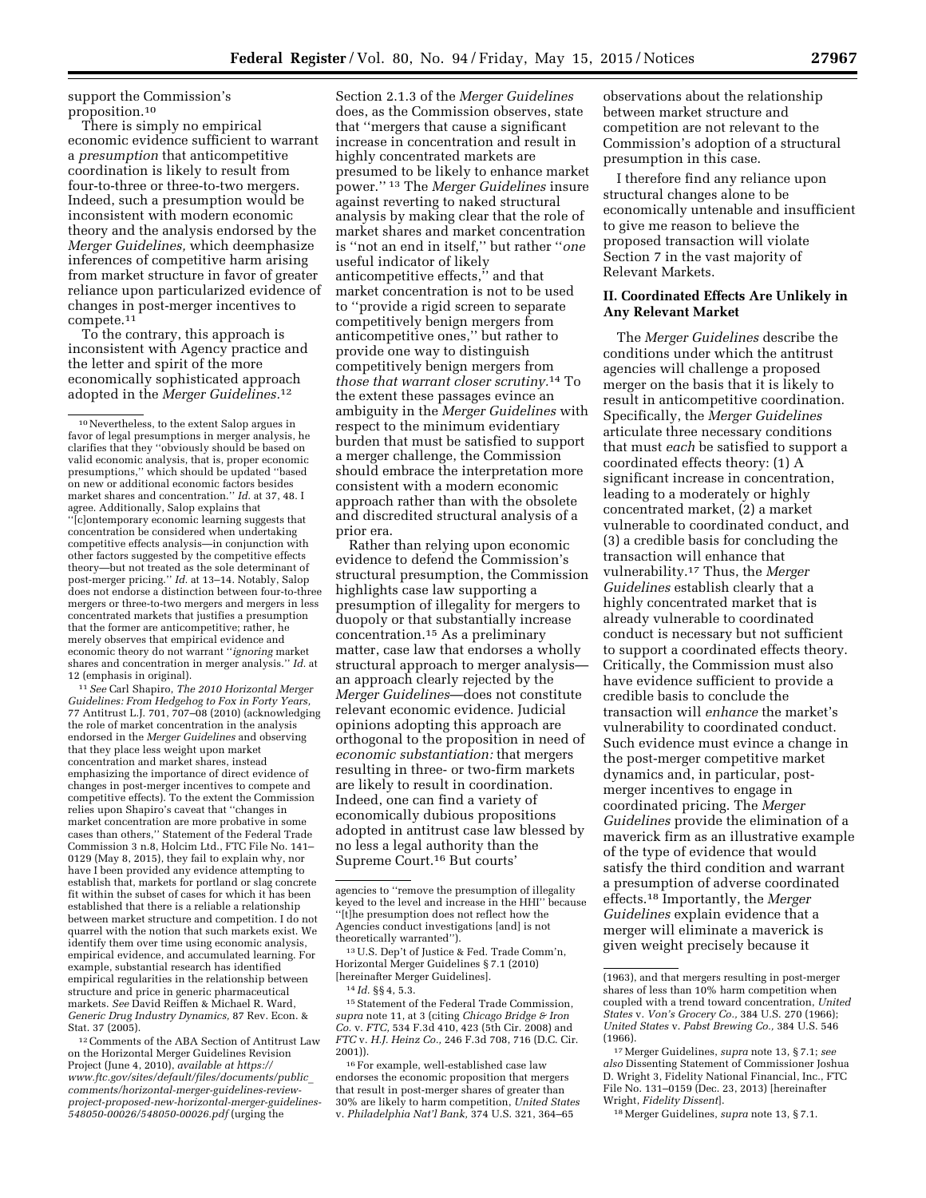support the Commission's proposition.10

There is simply no empirical economic evidence sufficient to warrant a *presumption* that anticompetitive coordination is likely to result from four-to-three or three-to-two mergers. Indeed, such a presumption would be inconsistent with modern economic theory and the analysis endorsed by the *Merger Guidelines,* which deemphasize inferences of competitive harm arising from market structure in favor of greater reliance upon particularized evidence of changes in post-merger incentives to compete.11

To the contrary, this approach is inconsistent with Agency practice and the letter and spirit of the more economically sophisticated approach adopted in the *Merger Guidelines.*12

11*See* Carl Shapiro, *The 2010 Horizontal Merger Guidelines: From Hedgehog to Fox in Forty Years,*  77 Antitrust L.J. 701, 707–08 (2010) (acknowledging the role of market concentration in the analysis endorsed in the *Merger Guidelines* and observing that they place less weight upon market concentration and market shares, instead emphasizing the importance of direct evidence of changes in post-merger incentives to compete and competitive effects). To the extent the Commission relies upon Shapiro's caveat that ''changes in market concentration are more probative in some cases than others,'' Statement of the Federal Trade Commission 3 n.8, Holcim Ltd., FTC File No. 141– 0129 (May 8, 2015), they fail to explain why, nor have I been provided any evidence attempting to establish that, markets for portland or slag concrete fit within the subset of cases for which it has been established that there is a reliable a relationship between market structure and competition. I do not quarrel with the notion that such markets exist. We identify them over time using economic analysis, empirical evidence, and accumulated learning. For example, substantial research has identified empirical regularities in the relationship between structure and price in generic pharmaceutical markets. *See* David Reiffen & Michael R. Ward, *Generic Drug Industry Dynamics,* 87 Rev. Econ. & Stat. 37 (2005).

12Comments of the ABA Section of Antitrust Law on the Horizontal Merger Guidelines Revision Project (June 4, 2010), *available at [https://](https://www.ftc.gov/sites/default/files/documents/public_comments/horizontal-merger-guidelines-review-project-proposed-new-horizontal-merger-guidelines-548050-00026/548050-00026.pdf) [www.ftc.gov/sites/default/files/documents/public](https://www.ftc.gov/sites/default/files/documents/public_comments/horizontal-merger-guidelines-review-project-proposed-new-horizontal-merger-guidelines-548050-00026/548050-00026.pdf)*\_ *[comments/horizontal-merger-guidelines-review](https://www.ftc.gov/sites/default/files/documents/public_comments/horizontal-merger-guidelines-review-project-proposed-new-horizontal-merger-guidelines-548050-00026/548050-00026.pdf)[project-proposed-new-horizontal-merger-guidelines-](https://www.ftc.gov/sites/default/files/documents/public_comments/horizontal-merger-guidelines-review-project-proposed-new-horizontal-merger-guidelines-548050-00026/548050-00026.pdf)[548050-00026/548050-00026.pdf](https://www.ftc.gov/sites/default/files/documents/public_comments/horizontal-merger-guidelines-review-project-proposed-new-horizontal-merger-guidelines-548050-00026/548050-00026.pdf)* (urging the

Section 2.1.3 of the *Merger Guidelines*  does, as the Commission observes, state that ''mergers that cause a significant increase in concentration and result in highly concentrated markets are presumed to be likely to enhance market power.'' 13 The *Merger Guidelines* insure against reverting to naked structural analysis by making clear that the role of market shares and market concentration is ''not an end in itself,'' but rather ''*one*  useful indicator of likely anticompetitive effects,'' and that market concentration is not to be used to ''provide a rigid screen to separate competitively benign mergers from anticompetitive ones,'' but rather to provide one way to distinguish competitively benign mergers from *those that warrant closer scrutiny.*14 To the extent these passages evince an ambiguity in the *Merger Guidelines* with respect to the minimum evidentiary burden that must be satisfied to support a merger challenge, the Commission should embrace the interpretation more consistent with a modern economic approach rather than with the obsolete and discredited structural analysis of a prior era.

Rather than relying upon economic evidence to defend the Commission's structural presumption, the Commission highlights case law supporting a presumption of illegality for mergers to duopoly or that substantially increase concentration.15 As a preliminary matter, case law that endorses a wholly structural approach to merger analysis an approach clearly rejected by the *Merger Guidelines*—does not constitute relevant economic evidence. Judicial opinions adopting this approach are orthogonal to the proposition in need of *economic substantiation:* that mergers resulting in three- or two-firm markets are likely to result in coordination. Indeed, one can find a variety of economically dubious propositions adopted in antitrust case law blessed by no less a legal authority than the Supreme Court.16 But courts'

13U.S. Dep't of Justice & Fed. Trade Comm'n, Horizontal Merger Guidelines § 7.1 (2010) [hereinafter Merger Guidelines].

14 *Id.* §§ 4, 5.3.

15Statement of the Federal Trade Commission, *supra* note 11, at 3 (citing *Chicago Bridge & Iron Co.* v. *FTC,* 534 F.3d 410, 423 (5th Cir. 2008) and *FTC* v. *H.J. Heinz Co.,* 246 F.3d 708, 716 (D.C. Cir. 2001)).

16For example, well-established case law endorses the economic proposition that mergers that result in post-merger shares of greater than 30% are likely to harm competition, *United States*  v. *Philadelphia Nat'l Bank,* 374 U.S. 321, 364–65

observations about the relationship between market structure and competition are not relevant to the Commission's adoption of a structural presumption in this case.

I therefore find any reliance upon structural changes alone to be economically untenable and insufficient to give me reason to believe the proposed transaction will violate Section 7 in the vast majority of Relevant Markets.

# **II. Coordinated Effects Are Unlikely in Any Relevant Market**

The *Merger Guidelines* describe the conditions under which the antitrust agencies will challenge a proposed merger on the basis that it is likely to result in anticompetitive coordination. Specifically, the *Merger Guidelines*  articulate three necessary conditions that must *each* be satisfied to support a coordinated effects theory: (1) A significant increase in concentration, leading to a moderately or highly concentrated market, (2) a market vulnerable to coordinated conduct, and (3) a credible basis for concluding the transaction will enhance that vulnerability.17 Thus, the *Merger Guidelines* establish clearly that a highly concentrated market that is already vulnerable to coordinated conduct is necessary but not sufficient to support a coordinated effects theory. Critically, the Commission must also have evidence sufficient to provide a credible basis to conclude the transaction will *enhance* the market's vulnerability to coordinated conduct. Such evidence must evince a change in the post-merger competitive market dynamics and, in particular, postmerger incentives to engage in coordinated pricing. The *Merger Guidelines* provide the elimination of a maverick firm as an illustrative example of the type of evidence that would satisfy the third condition and warrant a presumption of adverse coordinated effects.18 Importantly, the *Merger Guidelines* explain evidence that a merger will eliminate a maverick is given weight precisely because it

18Merger Guidelines, *supra* note 13, § 7.1.

<sup>10</sup>Nevertheless, to the extent Salop argues in favor of legal presumptions in merger analysis, he clarifies that they ''obviously should be based on valid economic analysis, that is, proper economic presumptions,'' which should be updated ''based on new or additional economic factors besides market shares and concentration.'' *Id.* at 37, 48. I agree. Additionally, Salop explains that ''[c]ontemporary economic learning suggests that concentration be considered when undertaking competitive effects analysis—in conjunction with other factors suggested by the competitive effects theory—but not treated as the sole determinant of post-merger pricing.'' *Id.* at 13–14. Notably, Salop does not endorse a distinction between four-to-three mergers or three-to-two mergers and mergers in less concentrated markets that justifies a presumption that the former are anticompetitive; rather, he merely observes that empirical evidence and economic theory do not warrant ''*ignoring* market shares and concentration in merger analysis.'' *Id.* at 12 (emphasis in original).

agencies to ''remove the presumption of illegality keyed to the level and increase in the HHI'' because ''[t]he presumption does not reflect how the Agencies conduct investigations [and] is not theoretically warranted'').

<sup>(1963),</sup> and that mergers resulting in post-merger shares of less than 10% harm competition when coupled with a trend toward concentration, *United States* v. *Von's Grocery Co.,* 384 U.S. 270 (1966); *United States* v. *Pabst Brewing Co.,* 384 U.S. 546 (1966).

<sup>17</sup>Merger Guidelines, *supra* note 13, § 7.1; *see also* Dissenting Statement of Commissioner Joshua D. Wright 3, Fidelity National Financial, Inc., FTC File No. 131–0159 (Dec. 23, 2013) [hereinafter Wright, *Fidelity Dissent*].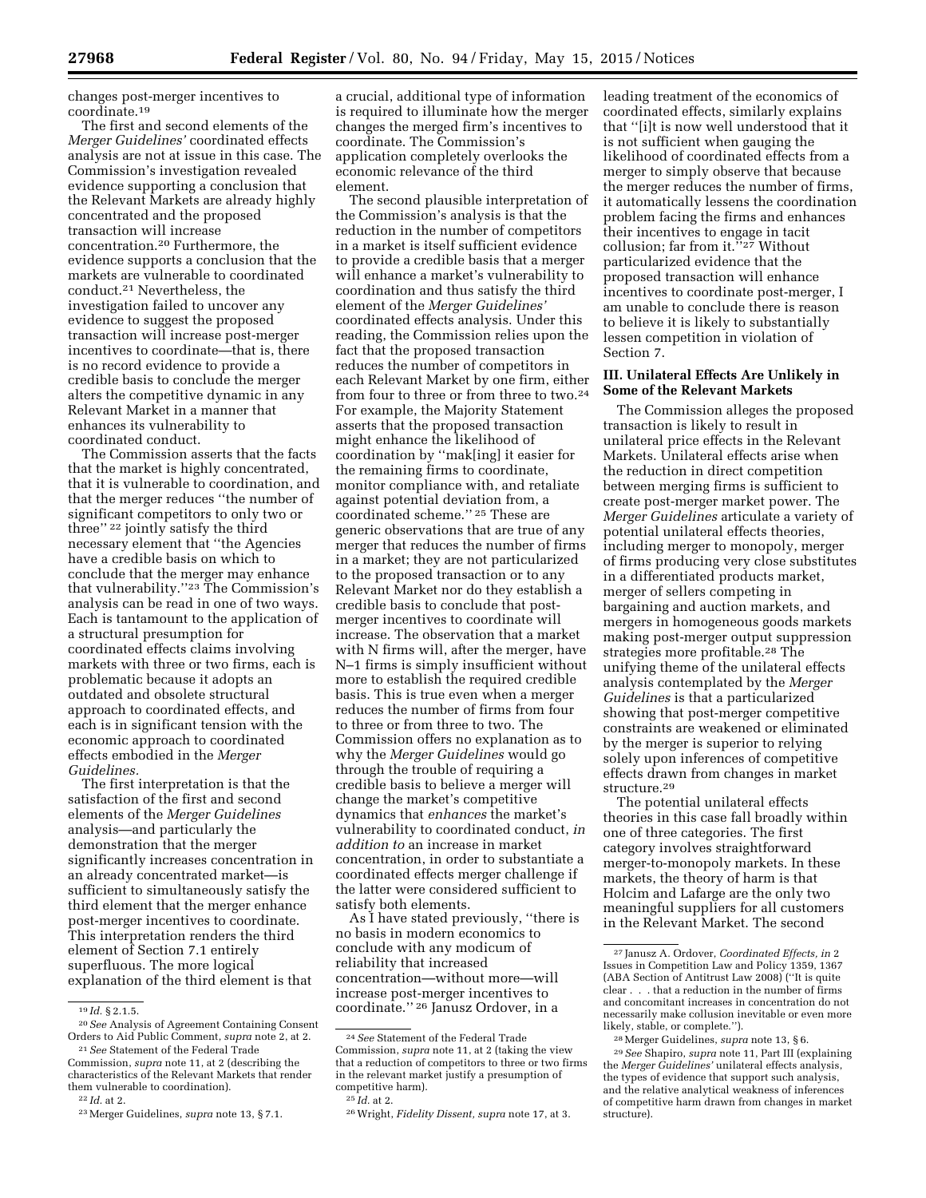changes post-merger incentives to coordinate.19

The first and second elements of the *Merger Guidelines'* coordinated effects analysis are not at issue in this case. The Commission's investigation revealed evidence supporting a conclusion that the Relevant Markets are already highly concentrated and the proposed transaction will increase concentration.20 Furthermore, the evidence supports a conclusion that the markets are vulnerable to coordinated conduct.21 Nevertheless, the investigation failed to uncover any evidence to suggest the proposed transaction will increase post-merger incentives to coordinate—that is, there is no record evidence to provide a credible basis to conclude the merger alters the competitive dynamic in any Relevant Market in a manner that enhances its vulnerability to coordinated conduct.

The Commission asserts that the facts that the market is highly concentrated, that it is vulnerable to coordination, and that the merger reduces ''the number of significant competitors to only two or three'' 22 jointly satisfy the third necessary element that ''the Agencies have a credible basis on which to conclude that the merger may enhance that vulnerability.''23 The Commission's analysis can be read in one of two ways. Each is tantamount to the application of a structural presumption for coordinated effects claims involving markets with three or two firms, each is problematic because it adopts an outdated and obsolete structural approach to coordinated effects, and each is in significant tension with the economic approach to coordinated effects embodied in the *Merger Guidelines.* 

The first interpretation is that the satisfaction of the first and second elements of the *Merger Guidelines*  analysis—and particularly the demonstration that the merger significantly increases concentration in an already concentrated market—is sufficient to simultaneously satisfy the third element that the merger enhance post-merger incentives to coordinate. This interpretation renders the third element of Section 7.1 entirely superfluous. The more logical explanation of the third element is that

a crucial, additional type of information is required to illuminate how the merger changes the merged firm's incentives to coordinate. The Commission's application completely overlooks the economic relevance of the third element.

The second plausible interpretation of the Commission's analysis is that the reduction in the number of competitors in a market is itself sufficient evidence to provide a credible basis that a merger will enhance a market's vulnerability to coordination and thus satisfy the third element of the *Merger Guidelines'*  coordinated effects analysis. Under this reading, the Commission relies upon the fact that the proposed transaction reduces the number of competitors in each Relevant Market by one firm, either from four to three or from three to two.<sup>24</sup> For example, the Majority Statement asserts that the proposed transaction might enhance the likelihood of coordination by ''mak[ing] it easier for the remaining firms to coordinate, monitor compliance with, and retaliate against potential deviation from, a coordinated scheme.'' 25 These are generic observations that are true of any merger that reduces the number of firms in a market; they are not particularized to the proposed transaction or to any Relevant Market nor do they establish a credible basis to conclude that postmerger incentives to coordinate will increase. The observation that a market with N firms will, after the merger, have N–1 firms is simply insufficient without more to establish the required credible basis. This is true even when a merger reduces the number of firms from four to three or from three to two. The Commission offers no explanation as to why the *Merger Guidelines* would go through the trouble of requiring a credible basis to believe a merger will change the market's competitive dynamics that *enhances* the market's vulnerability to coordinated conduct, *in addition to* an increase in market concentration, in order to substantiate a coordinated effects merger challenge if the latter were considered sufficient to satisfy both elements.

As I have stated previously, ''there is no basis in modern economics to conclude with any modicum of reliability that increased concentration—without more—will increase post-merger incentives to coordinate.'' 26 Janusz Ordover, in a

leading treatment of the economics of coordinated effects, similarly explains that ''[i]t is now well understood that it is not sufficient when gauging the likelihood of coordinated effects from a merger to simply observe that because the merger reduces the number of firms, it automatically lessens the coordination problem facing the firms and enhances their incentives to engage in tacit collusion; far from it."<sup>27</sup> Without particularized evidence that the proposed transaction will enhance incentives to coordinate post-merger, I am unable to conclude there is reason to believe it is likely to substantially lessen competition in violation of Section 7.

## **III. Unilateral Effects Are Unlikely in Some of the Relevant Markets**

The Commission alleges the proposed transaction is likely to result in unilateral price effects in the Relevant Markets. Unilateral effects arise when the reduction in direct competition between merging firms is sufficient to create post-merger market power. The *Merger Guidelines* articulate a variety of potential unilateral effects theories, including merger to monopoly, merger of firms producing very close substitutes in a differentiated products market, merger of sellers competing in bargaining and auction markets, and mergers in homogeneous goods markets making post-merger output suppression strategies more profitable.28 The unifying theme of the unilateral effects analysis contemplated by the *Merger Guidelines* is that a particularized showing that post-merger competitive constraints are weakened or eliminated by the merger is superior to relying solely upon inferences of competitive effects drawn from changes in market structure.29

The potential unilateral effects theories in this case fall broadly within one of three categories. The first category involves straightforward merger-to-monopoly markets. In these markets, the theory of harm is that Holcim and Lafarge are the only two meaningful suppliers for all customers in the Relevant Market. The second

<sup>19</sup> *Id.* § 2.1.5.

<sup>20</sup>*See* Analysis of Agreement Containing Consent Orders to Aid Public Comment, *supra* note 2, at 2. 21*See* Statement of the Federal Trade

Commission, *supra* note 11, at 2 (describing the characteristics of the Relevant Markets that render them vulnerable to coordination).

<sup>22</sup> *Id.* at 2.

<sup>23</sup>Merger Guidelines, *supra* note 13, § 7.1.

<sup>24</sup>*See* Statement of the Federal Trade Commission, *supra* note 11, at 2 (taking the view that a reduction of competitors to three or two firms in the relevant market justify a presumption of competitive harm).

<sup>25</sup> *Id.* at 2.

<sup>26</sup>Wright, *Fidelity Dissent, supra* note 17, at 3.

<sup>27</sup> Janusz A. Ordover, *Coordinated Effects, in* 2 Issues in Competition Law and Policy 1359, 1367 (ABA Section of Antitrust Law 2008) (''It is quite clear . . . that a reduction in the number of firms and concomitant increases in concentration do not necessarily make collusion inevitable or even more likely, stable, or complete.'').

<sup>28</sup>Merger Guidelines, *supra* note 13, § 6.

<sup>29</sup>*See* Shapiro, *supra* note 11, Part III (explaining the *Merger Guidelines'* unilateral effects analysis, the types of evidence that support such analysis, and the relative analytical weakness of inferences of competitive harm drawn from changes in market structure).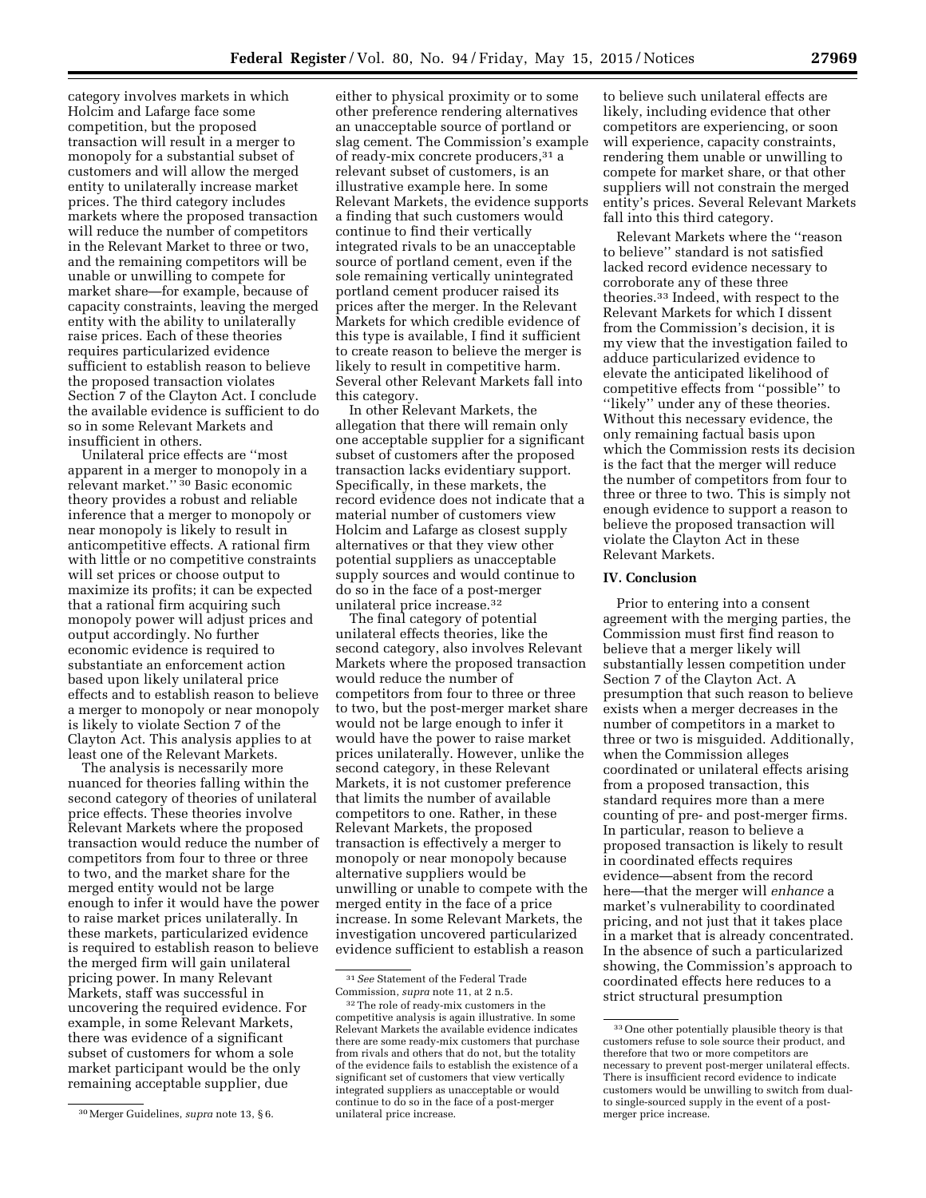category involves markets in which Holcim and Lafarge face some competition, but the proposed transaction will result in a merger to monopoly for a substantial subset of customers and will allow the merged entity to unilaterally increase market prices. The third category includes markets where the proposed transaction will reduce the number of competitors in the Relevant Market to three or two, and the remaining competitors will be unable or unwilling to compete for market share—for example, because of capacity constraints, leaving the merged entity with the ability to unilaterally raise prices. Each of these theories requires particularized evidence sufficient to establish reason to believe the proposed transaction violates Section 7 of the Clayton Act. I conclude the available evidence is sufficient to do so in some Relevant Markets and insufficient in others.

Unilateral price effects are ''most apparent in a merger to monopoly in a relevant market.'' 30 Basic economic theory provides a robust and reliable inference that a merger to monopoly or near monopoly is likely to result in anticompetitive effects. A rational firm with little or no competitive constraints will set prices or choose output to maximize its profits; it can be expected that a rational firm acquiring such monopoly power will adjust prices and output accordingly. No further economic evidence is required to substantiate an enforcement action based upon likely unilateral price effects and to establish reason to believe a merger to monopoly or near monopoly is likely to violate Section 7 of the Clayton Act. This analysis applies to at least one of the Relevant Markets.

The analysis is necessarily more nuanced for theories falling within the second category of theories of unilateral price effects. These theories involve Relevant Markets where the proposed transaction would reduce the number of competitors from four to three or three to two, and the market share for the merged entity would not be large enough to infer it would have the power to raise market prices unilaterally. In these markets, particularized evidence is required to establish reason to believe the merged firm will gain unilateral pricing power. In many Relevant Markets, staff was successful in uncovering the required evidence. For example, in some Relevant Markets, there was evidence of a significant subset of customers for whom a sole market participant would be the only remaining acceptable supplier, due

either to physical proximity or to some other preference rendering alternatives an unacceptable source of portland or slag cement. The Commission's example of ready-mix concrete producers,31 a relevant subset of customers, is an illustrative example here. In some Relevant Markets, the evidence supports a finding that such customers would continue to find their vertically integrated rivals to be an unacceptable source of portland cement, even if the sole remaining vertically unintegrated portland cement producer raised its prices after the merger. In the Relevant Markets for which credible evidence of this type is available, I find it sufficient to create reason to believe the merger is likely to result in competitive harm. Several other Relevant Markets fall into this category.

In other Relevant Markets, the allegation that there will remain only one acceptable supplier for a significant subset of customers after the proposed transaction lacks evidentiary support. Specifically, in these markets, the record evidence does not indicate that a material number of customers view Holcim and Lafarge as closest supply alternatives or that they view other potential suppliers as unacceptable supply sources and would continue to do so in the face of a post-merger unilateral price increase.32

The final category of potential unilateral effects theories, like the second category, also involves Relevant Markets where the proposed transaction would reduce the number of competitors from four to three or three to two, but the post-merger market share would not be large enough to infer it would have the power to raise market prices unilaterally. However, unlike the second category, in these Relevant Markets, it is not customer preference that limits the number of available competitors to one. Rather, in these Relevant Markets, the proposed transaction is effectively a merger to monopoly or near monopoly because alternative suppliers would be unwilling or unable to compete with the merged entity in the face of a price increase. In some Relevant Markets, the investigation uncovered particularized evidence sufficient to establish a reason

to believe such unilateral effects are likely, including evidence that other competitors are experiencing, or soon will experience, capacity constraints, rendering them unable or unwilling to compete for market share, or that other suppliers will not constrain the merged entity's prices. Several Relevant Markets fall into this third category.

Relevant Markets where the ''reason to believe'' standard is not satisfied lacked record evidence necessary to corroborate any of these three theories.33 Indeed, with respect to the Relevant Markets for which I dissent from the Commission's decision, it is my view that the investigation failed to adduce particularized evidence to elevate the anticipated likelihood of competitive effects from ''possible'' to ''likely'' under any of these theories. Without this necessary evidence, the only remaining factual basis upon which the Commission rests its decision is the fact that the merger will reduce the number of competitors from four to three or three to two. This is simply not enough evidence to support a reason to believe the proposed transaction will violate the Clayton Act in these Relevant Markets.

#### **IV. Conclusion**

Prior to entering into a consent agreement with the merging parties, the Commission must first find reason to believe that a merger likely will substantially lessen competition under Section 7 of the Clayton Act. A presumption that such reason to believe exists when a merger decreases in the number of competitors in a market to three or two is misguided. Additionally, when the Commission alleges coordinated or unilateral effects arising from a proposed transaction, this standard requires more than a mere counting of pre- and post-merger firms. In particular, reason to believe a proposed transaction is likely to result in coordinated effects requires evidence—absent from the record here—that the merger will *enhance* a market's vulnerability to coordinated pricing, and not just that it takes place in a market that is already concentrated. In the absence of such a particularized showing, the Commission's approach to coordinated effects here reduces to a strict structural presumption

<sup>30</sup>Merger Guidelines, *supra* note 13, § 6.

<sup>31</sup>*See* Statement of the Federal Trade Commission, *supra* note 11, at 2 n.5.

<sup>32</sup>The role of ready-mix customers in the competitive analysis is again illustrative. In some Relevant Markets the available evidence indicates there are some ready-mix customers that purchase from rivals and others that do not, but the totality of the evidence fails to establish the existence of a significant set of customers that view vertically integrated suppliers as unacceptable or would continue to do so in the face of a post-merger unilateral price increase.

<sup>33</sup>One other potentially plausible theory is that customers refuse to sole source their product, and therefore that two or more competitors are necessary to prevent post-merger unilateral effects. There is insufficient record evidence to indicate customers would be unwilling to switch from dualto single-sourced supply in the event of a postmerger price increase.